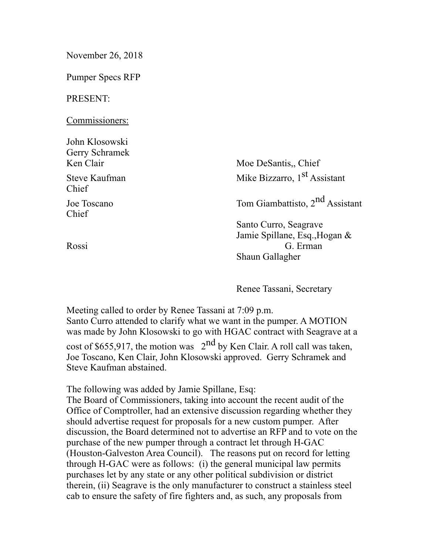| November 26, 2018                             |                                                                                       |
|-----------------------------------------------|---------------------------------------------------------------------------------------|
| <b>Pumper Specs RFP</b>                       |                                                                                       |
| PRESENT:                                      |                                                                                       |
| Commissioners:                                |                                                                                       |
| John Klosowski<br>Gerry Schramek<br>Ken Clair | Moe DeSantis, Chief                                                                   |
| Steve Kaufman<br>Chief                        | Mike Bizzarro, 1 <sup>st</sup> Assistant                                              |
| Joe Toscano<br>Chief                          | Tom Giambattisto, 2 <sup>nd</sup> Assistant                                           |
| Rossi                                         | Santo Curro, Seagrave<br>Jamie Spillane, Esq., Hogan &<br>G. Erman<br>Shaun Gallagher |

Renee Tassani, Secretary

Meeting called to order by Renee Tassani at 7:09 p.m. Santo Curro attended to clarify what we want in the pumper. A MOTION was made by John Klosowski to go with HGAC contract with Seagrave at a cost of \$655,917, the motion was  $2^{nd}$  by Ken Clair. A roll call was taken, Joe Toscano, Ken Clair, John Klosowski approved. Gerry Schramek and Steve Kaufman abstained.

The following was added by Jamie Spillane, Esq:

The Board of Commissioners, taking into account the recent audit of the Office of Comptroller, had an extensive discussion regarding whether they should advertise request for proposals for a new custom pumper. After discussion, the Board determined not to advertise an RFP and to vote on the purchase of the new pumper through a contract let through H-GAC (Houston-Galveston Area Council). The reasons put on record for letting through H-GAC were as follows: (i) the general municipal law permits purchases let by any state or any other political subdivision or district therein, (ii) Seagrave is the only manufacturer to construct a stainless steel cab to ensure the safety of fire fighters and, as such, any proposals from